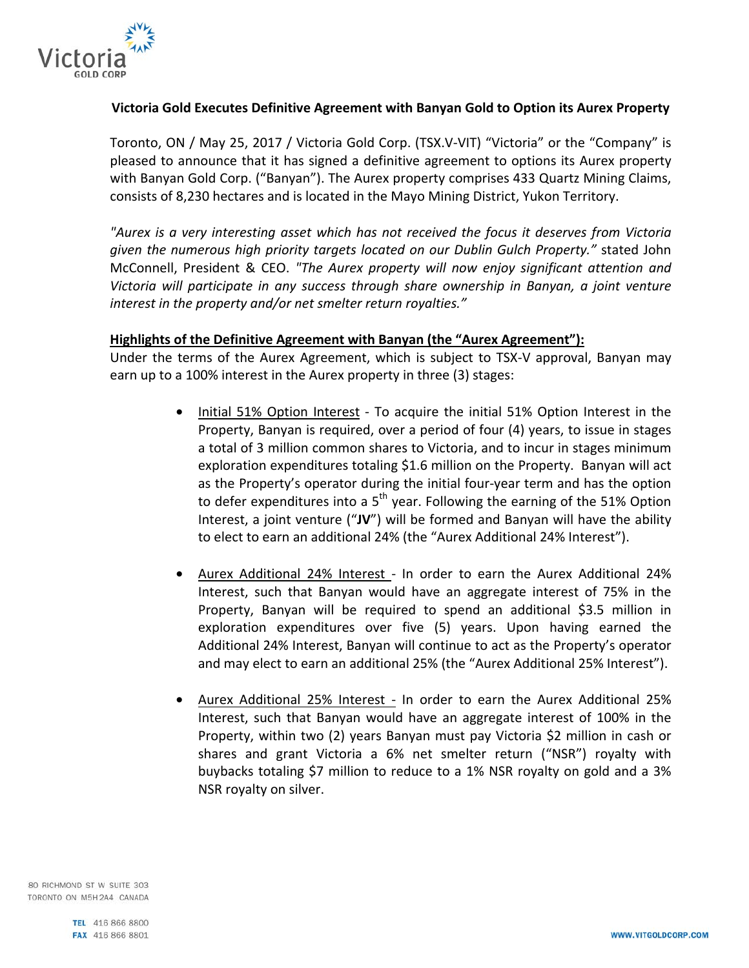

# **Victoria Gold Executes Definitive Agreement with Banyan Gold to Option its Aurex Property**

Toronto, ON / May 25, 2017 / Victoria Gold Corp. (TSX.V-VIT) "Victoria" or the "Company" is pleased to announce that it has signed a definitive agreement to options its Aurex property with Banyan Gold Corp. ("Banyan"). The Aurex property comprises 433 Quartz Mining Claims, consists of 8,230 hectares and is located in the Mayo Mining District, Yukon Territory.

*"Aurex is a very interesting asset which has not received the focus it deserves from Victoria given the numerous high priority targets located on our Dublin Gulch Property."* stated John McConnell, President & CEO. *"The Aurex property will now enjoy significant attention and Victoria will participate in any success through share ownership in Banyan, a joint venture interest in the property and/or net smelter return royalties."*

#### **Highlights of the Definitive Agreement with Banyan (the "Aurex Agreement"):**

Under the terms of the Aurex Agreement, which is subject to TSX-V approval, Banyan may earn up to a 100% interest in the Aurex property in three (3) stages:

- Initial 51% Option Interest To acquire the initial 51% Option Interest in the Property, Banyan is required, over a period of four (4) years, to issue in stages a total of 3 million common shares to Victoria, and to incur in stages minimum exploration expenditures totaling \$1.6 million on the Property. Banyan will act as the Property's operator during the initial four-year term and has the option to defer expenditures into a  $5<sup>th</sup>$  year. Following the earning of the 51% Option Interest, a joint venture ("**JV**") will be formed and Banyan will have the ability to elect to earn an additional 24% (the "Aurex Additional 24% Interest").
- Aurex Additional 24% Interest In order to earn the Aurex Additional 24% Interest, such that Banyan would have an aggregate interest of 75% in the Property, Banyan will be required to spend an additional \$3.5 million in exploration expenditures over five (5) years. Upon having earned the Additional 24% Interest, Banyan will continue to act as the Property's operator and may elect to earn an additional 25% (the "Aurex Additional 25% Interest").
- Aurex Additional 25% Interest In order to earn the Aurex Additional 25% Interest, such that Banyan would have an aggregate interest of 100% in the Property, within two (2) years Banyan must pay Victoria \$2 million in cash or shares and grant Victoria a 6% net smelter return ("NSR") royalty with buybacks totaling \$7 million to reduce to a 1% NSR royalty on gold and a 3% NSR royalty on silver.

80 RICHMOND ST W SUITE 303 TORONTO ON M5H2A4 CANADA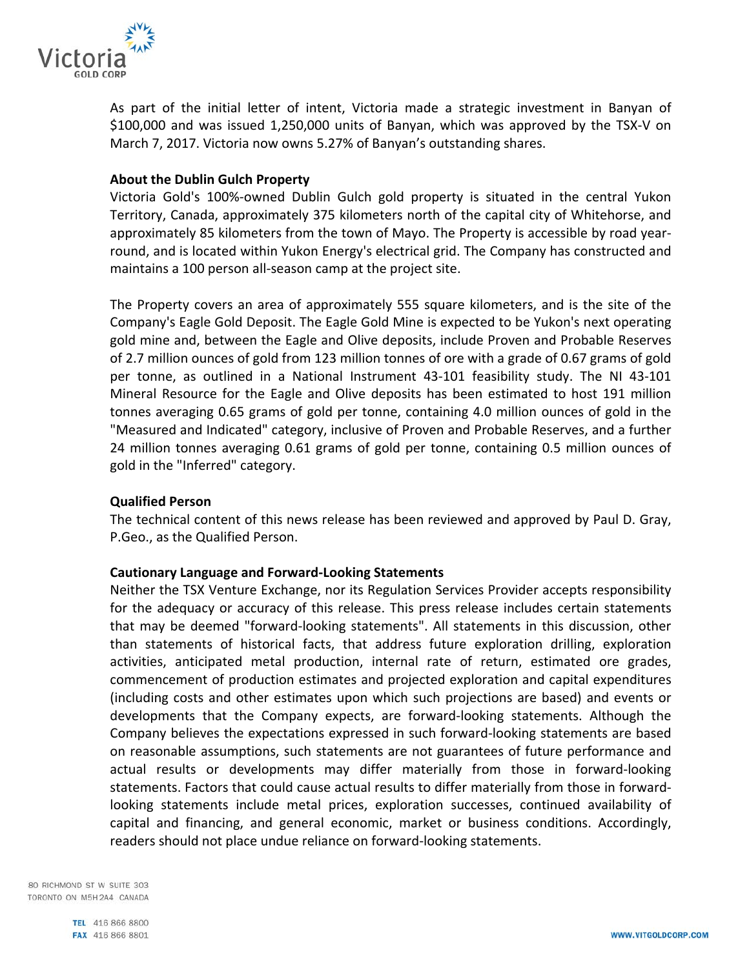

As part of the initial letter of intent, Victoria made a strategic investment in Banyan of \$100,000 and was issued 1,250,000 units of Banyan, which was approved by the TSX-V on March 7, 2017. Victoria now owns 5.27% of Banyan's outstanding shares.

#### **About the Dublin Gulch Property**

Victoria Gold's 100%-owned Dublin Gulch gold property is situated in the central Yukon Territory, Canada, approximately 375 kilometers north of the capital city of Whitehorse, and approximately 85 kilometers from the town of Mayo. The Property is accessible by road yearround, and is located within Yukon Energy's electrical grid. The Company has constructed and maintains a 100 person all-season camp at the project site.

The Property covers an area of approximately 555 square kilometers, and is the site of the Company's Eagle Gold Deposit. The Eagle Gold Mine is expected to be Yukon's next operating gold mine and, between the Eagle and Olive deposits, include Proven and Probable Reserves of 2.7 million ounces of gold from 123 million tonnes of ore with a grade of 0.67 grams of gold per tonne, as outlined in a National Instrument 43-101 feasibility study. The NI 43-101 Mineral Resource for the Eagle and Olive deposits has been estimated to host 191 million tonnes averaging 0.65 grams of gold per tonne, containing 4.0 million ounces of gold in the "Measured and Indicated" category, inclusive of Proven and Probable Reserves, and a further 24 million tonnes averaging 0.61 grams of gold per tonne, containing 0.5 million ounces of gold in the "Inferred" category.

# **Qualified Person**

The technical content of this news release has been reviewed and approved by Paul D. Gray, P.Geo., as the Qualified Person.

#### **Cautionary Language and Forward-Looking Statements**

Neither the TSX Venture Exchange, nor its Regulation Services Provider accepts responsibility for the adequacy or accuracy of this release. This press release includes certain statements that may be deemed "forward-looking statements". All statements in this discussion, other than statements of historical facts, that address future exploration drilling, exploration activities, anticipated metal production, internal rate of return, estimated ore grades, commencement of production estimates and projected exploration and capital expenditures (including costs and other estimates upon which such projections are based) and events or developments that the Company expects, are forward-looking statements. Although the Company believes the expectations expressed in such forward-looking statements are based on reasonable assumptions, such statements are not guarantees of future performance and actual results or developments may differ materially from those in forward-looking statements. Factors that could cause actual results to differ materially from those in forwardlooking statements include metal prices, exploration successes, continued availability of capital and financing, and general economic, market or business conditions. Accordingly, readers should not place undue reliance on forward-looking statements.

80 RICHMOND ST W SUITE 303 TORONTO ON M5H2A4 CANADA